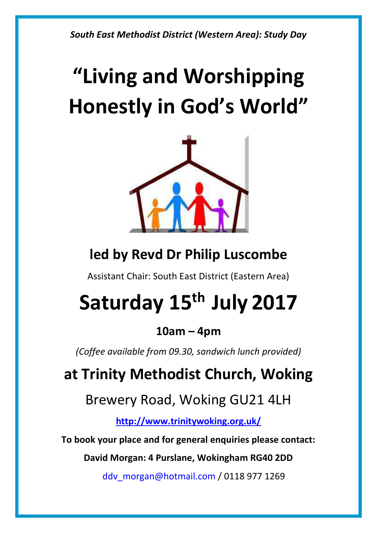*South East Methodist District (Western Area): Study Day*

# **"Living and Worshipping Honestly in God's World"**



# **led by Revd Dr Philip Luscombe**

Assistant Chair: South East District (Eastern Area)

# **Saturday 15 th July 2017**

# **10am – 4pm**

*(Coffee available from 09.30, sandwich lunch provided)*

# **at Trinity Methodist Church, Woking**

Brewery Road, Woking GU21 4LH

**<http://www.trinitywoking.org.uk/>**

**To book your place and for general enquiries please contact:**

**David Morgan: 4 Purslane, Wokingham RG40 2DD**

[ddv\\_morgan@hotmail.com](mailto:ddv_morgan@hotmail.com) / 0118 977 1269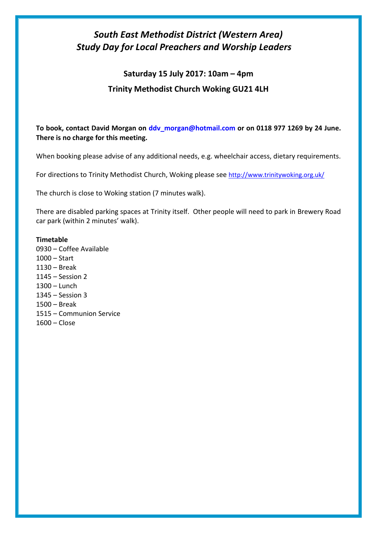### *South East Methodist District (Western Area) Study Day for Local Preachers and Worship Leaders*

## **Saturday 15 July 2017: 10am – 4pm Trinity Methodist Church Woking GU21 4LH**

**To book, contact David Morgan on [ddv\\_morgan@hotmail.com](mailto:ddv_morgan@hotmail.com) or on 0118 977 1269 by 24 June. There is no charge for this meeting.**

When booking please advise of any additional needs, e.g. wheelchair access, dietary requirements.

For directions to Trinity Methodist Church, Woking please see <http://www.trinitywoking.org.uk/>

The church is close to Woking station (7 minutes walk).

There are disabled parking spaces at Trinity itself. Other people will need to park in Brewery Road car park (within 2 minutes' walk).

#### **Timetable**

0930 – Coffee Available 1000 – Start 1130 – Break 1145 – Session 2 1300 – Lunch 1345 – Session 3 1500 – Break 1515 – Communion Service 1600 – Close